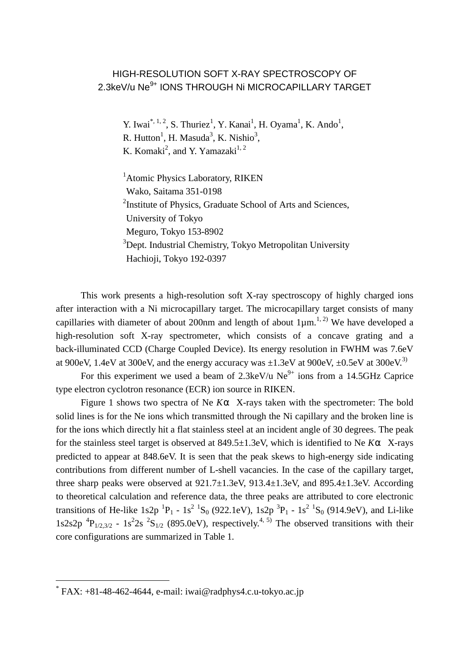## HIGH-RESOLUTION SOFT X-RAY SPECTROSCOPY OF 2.3keV/u Ne<sup>9+</sup> IONS THROUGH Ni MICROCAPILLARY TARGET

Y. Iwai<sup>\*, 1, 2</sup>, S. Thuriez<sup>1</sup>, Y. Kanai<sup>1</sup>, H. Oyama<sup>1</sup>, K. Ando<sup>1</sup>, R. Hutton<sup>1</sup>, H. Masuda<sup>3</sup>, K. Nishio<sup>3</sup>, K. Komaki<sup>2</sup>, and Y. Yamazaki<sup>1, 2</sup>

<sup>1</sup> Atomic Physics Laboratory, RIKEN Wako, Saitama 351-0198 <sup>2</sup>Institute of Physics, Graduate School of Arts and Sciences, University of Tokyo Meguro, Tokyo 153-8902 <sup>3</sup>Dept. Industrial Chemistry, Tokyo Metropolitan University Hachioji, Tokyo 192-0397

This work presents a high-resolution soft X-ray spectroscopy of highly charged ions after interaction with a Ni microcapillary target. The microcapillary target consists of many capillaries with diameter of about 200nm and length of about  $1\mu$ m.<sup>1, 2)</sup> We have developed a high-resolution soft X-ray spectrometer, which consists of a concave grating and a back-illuminated CCD (Charge Coupled Device). Its energy resolution in FWHM was 7.6eV at 900eV, 1.4eV at 300eV, and the energy accuracy was  $\pm 1.3$ eV at 900eV,  $\pm 0.5$ eV at 300eV.<sup>3)</sup>

For this experiment we used a beam of 2.3keV/u  $Ne^{9+}$  ions from a 14.5GHz Caprice type electron cyclotron resonance (ECR) ion source in RIKEN.

Figure 1 shows two spectra of Ne *Ka* X-rays taken with the spectrometer: The bold solid lines is for the Ne ions which transmitted through the Ni capillary and the broken line is for the ions which directly hit a flat stainless steel at an incident angle of 30 degrees. The peak for the stainless steel target is observed at 849.5±1.3eV, which is identified to Ne *Ka* X-rays predicted to appear at 848.6eV. It is seen that the peak skews to high-energy side indicating contributions from different number of L-shell vacancies. In the case of the capillary target, three sharp peaks were observed at 921.7±1.3eV, 913.4±1.3eV, and 895.4±1.3eV. According to theoretical calculation and reference data, the three peaks are attributed to core electronic transitions of He-like 1s2p  ${}^{1}P_1$  - 1s<sup>2</sup>  ${}^{1}S_0$  (922.1eV), 1s2p  ${}^{3}P_1$  - 1s<sup>2</sup>  ${}^{1}S_0$  (914.9eV), and Li-like  $1s2s2p$ <sup>4</sup> $P_{1/2,3/2}$  -  $1s^22s$ <sup>2</sup> $S_{1/2}$  (895.0eV), respectively.<sup>4, 5)</sup> The observed transitions with their core configurations are summarized in Table 1.

 $\overline{a}$ 

<sup>\*</sup> FAX: +81-48-462-4644, e-mail: iwai@radphys4.c.u-tokyo.ac.jp